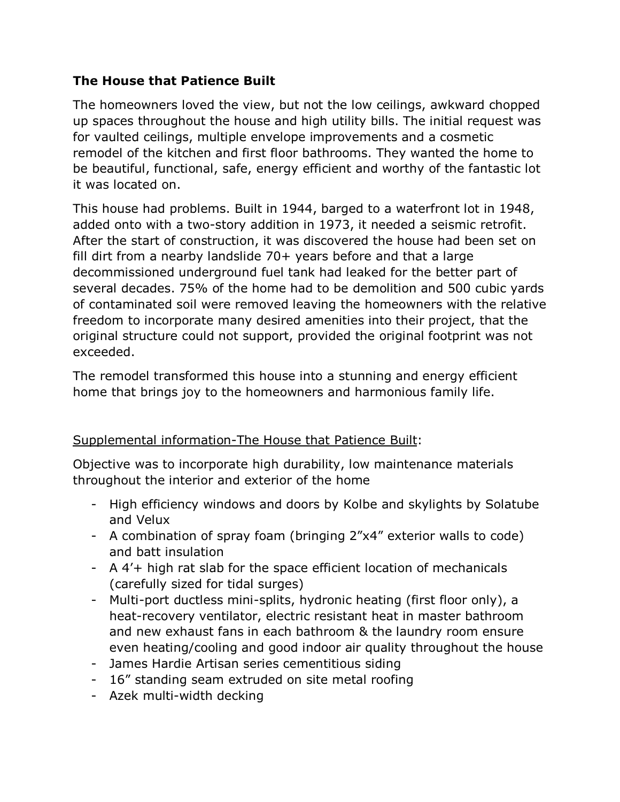## **The House that Patience Built**

The homeowners loved the view, but not the low ceilings, awkward chopped up spaces throughout the house and high utility bills. The initial request was for vaulted ceilings, multiple envelope improvements and a cosmetic remodel of the kitchen and first floor bathrooms. They wanted the home to be beautiful, functional, safe, energy efficient and worthy of the fantastic lot it was located on.

This house had problems. Built in 1944, barged to a waterfront lot in 1948, added onto with a two-story addition in 1973, it needed a seismic retrofit. After the start of construction, it was discovered the house had been set on fill dirt from a nearby landslide 70+ years before and that a large decommissioned underground fuel tank had leaked for the better part of several decades. 75% of the home had to be demolition and 500 cubic yards of contaminated soil were removed leaving the homeowners with the relative freedom to incorporate many desired amenities into their project, that the original structure could not support, provided the original footprint was not exceeded.

The remodel transformed this house into a stunning and energy efficient home that brings joy to the homeowners and harmonious family life.

## Supplemental information-The House that Patience Built:

Objective was to incorporate high durability, low maintenance materials throughout the interior and exterior of the home

- High efficiency windows and doors by Kolbe and skylights by Solatube and Velux
- A combination of spray foam (bringing 2"x4" exterior walls to code) and batt insulation
- A 4'+ high rat slab for the space efficient location of mechanicals (carefully sized for tidal surges)
- Multi-port ductless mini-splits, hydronic heating (first floor only), a heat-recovery ventilator, electric resistant heat in master bathroom and new exhaust fans in each bathroom & the laundry room ensure even heating/cooling and good indoor air quality throughout the house
- James Hardie Artisan series cementitious siding
- 16" standing seam extruded on site metal roofing
- Azek multi-width decking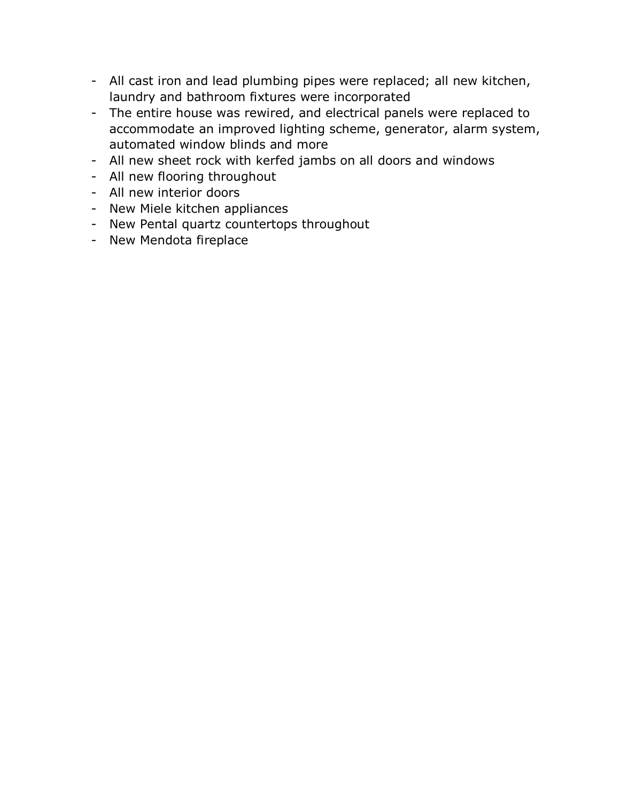- All cast iron and lead plumbing pipes were replaced; all new kitchen, laundry and bathroom fixtures were incorporated
- The entire house was rewired, and electrical panels were replaced to accommodate an improved lighting scheme, generator, alarm system, automated window blinds and more
- All new sheet rock with kerfed jambs on all doors and windows
- All new flooring throughout
- All new interior doors
- New Miele kitchen appliances
- New Pental quartz countertops throughout
- New Mendota fireplace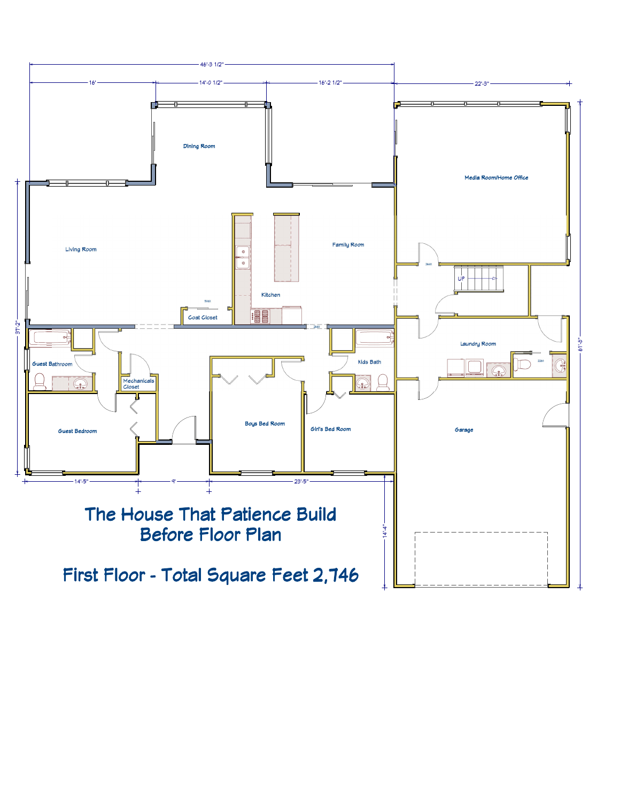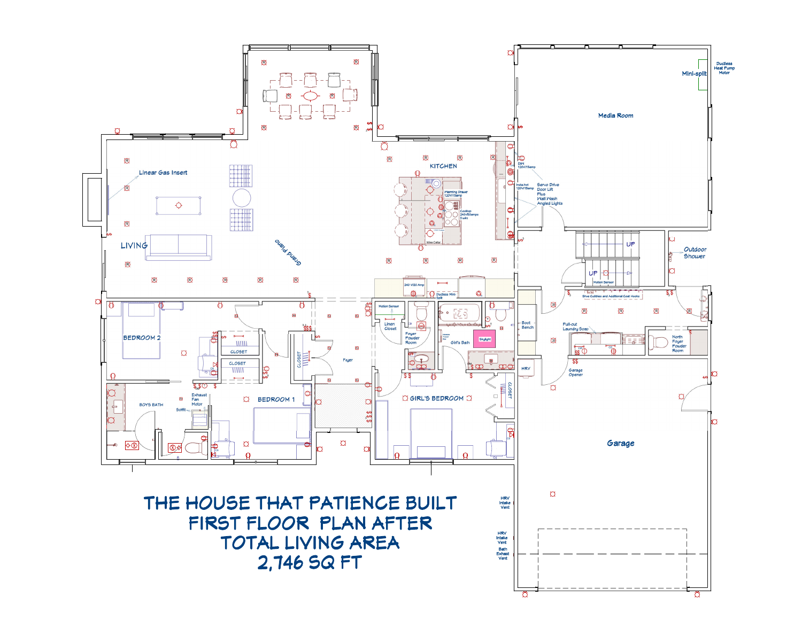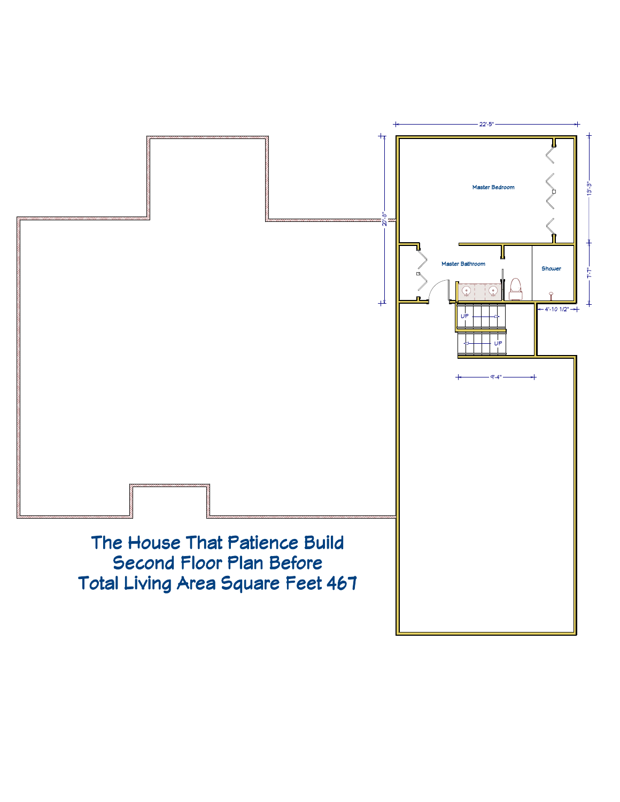